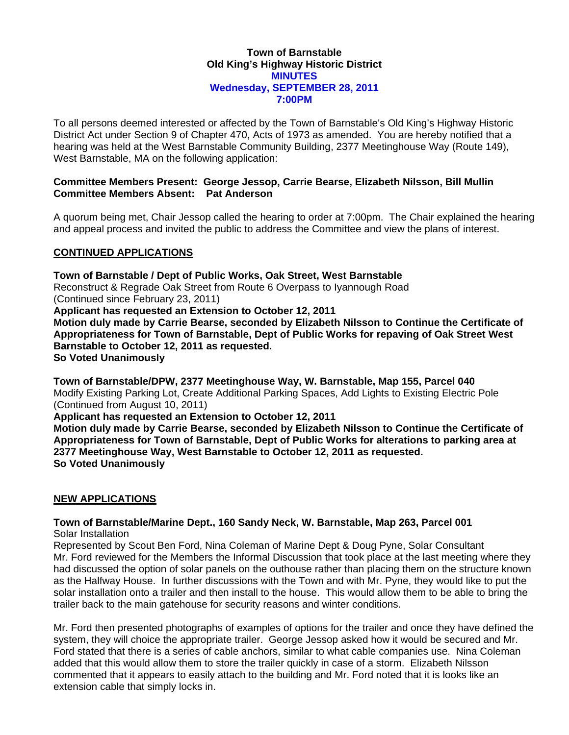### **Town of Barnstable Old King's Highway Historic District MINUTES Wednesday, SEPTEMBER 28, 2011 7:00PM**

To all persons deemed interested or affected by the Town of Barnstable's Old King's Highway Historic District Act under Section 9 of Chapter 470, Acts of 1973 as amended. You are hereby notified that a hearing was held at the West Barnstable Community Building, 2377 Meetinghouse Way (Route 149), West Barnstable, MA on the following application:

### **Committee Members Present: George Jessop, Carrie Bearse, Elizabeth Nilsson, Bill Mullin Committee Members Absent: Pat Anderson**

A quorum being met, Chair Jessop called the hearing to order at 7:00pm. The Chair explained the hearing and appeal process and invited the public to address the Committee and view the plans of interest.

## **CONTINUED APPLICATIONS**

**Town of Barnstable / Dept of Public Works, Oak Street, West Barnstable**  Reconstruct & Regrade Oak Street from Route 6 Overpass to Iyannough Road (Continued since February 23, 2011) **Applicant has requested an Extension to October 12, 2011 Motion duly made by Carrie Bearse, seconded by Elizabeth Nilsson to Continue the Certificate of Appropriateness for Town of Barnstable, Dept of Public Works for repaving of Oak Street West Barnstable to October 12, 2011 as requested. So Voted Unanimously** 

**Town of Barnstable/DPW, 2377 Meetinghouse Way, W. Barnstable, Map 155, Parcel 040**  Modify Existing Parking Lot, Create Additional Parking Spaces, Add Lights to Existing Electric Pole (Continued from August 10, 2011)

**Applicant has requested an Extension to October 12, 2011** 

**Motion duly made by Carrie Bearse, seconded by Elizabeth Nilsson to Continue the Certificate of Appropriateness for Town of Barnstable, Dept of Public Works for alterations to parking area at 2377 Meetinghouse Way, West Barnstable to October 12, 2011 as requested. So Voted Unanimously** 

## **NEW APPLICATIONS**

#### **Town of Barnstable/Marine Dept., 160 Sandy Neck, W. Barnstable, Map 263, Parcel 001**  Solar Installation

Represented by Scout Ben Ford, Nina Coleman of Marine Dept & Doug Pyne, Solar Consultant Mr. Ford reviewed for the Members the Informal Discussion that took place at the last meeting where they had discussed the option of solar panels on the outhouse rather than placing them on the structure known as the Halfway House. In further discussions with the Town and with Mr. Pyne, they would like to put the solar installation onto a trailer and then install to the house. This would allow them to be able to bring the trailer back to the main gatehouse for security reasons and winter conditions.

Mr. Ford then presented photographs of examples of options for the trailer and once they have defined the system, they will choice the appropriate trailer. George Jessop asked how it would be secured and Mr. Ford stated that there is a series of cable anchors, similar to what cable companies use. Nina Coleman added that this would allow them to store the trailer quickly in case of a storm. Elizabeth Nilsson commented that it appears to easily attach to the building and Mr. Ford noted that it is looks like an extension cable that simply locks in.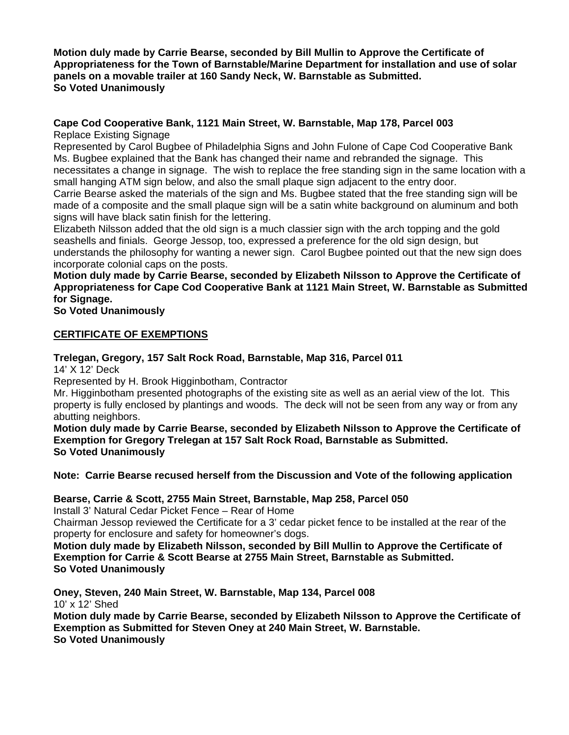**Motion duly made by Carrie Bearse, seconded by Bill Mullin to Approve the Certificate of Appropriateness for the Town of Barnstable/Marine Department for installation and use of solar panels on a movable trailer at 160 Sandy Neck, W. Barnstable as Submitted. So Voted Unanimously** 

# **Cape Cod Cooperative Bank, 1121 Main Street, W. Barnstable, Map 178, Parcel 003**

Replace Existing Signage

Represented by Carol Bugbee of Philadelphia Signs and John Fulone of Cape Cod Cooperative Bank Ms. Bugbee explained that the Bank has changed their name and rebranded the signage. This necessitates a change in signage. The wish to replace the free standing sign in the same location with a small hanging ATM sign below, and also the small plaque sign adjacent to the entry door.

Carrie Bearse asked the materials of the sign and Ms. Bugbee stated that the free standing sign will be made of a composite and the small plaque sign will be a satin white background on aluminum and both signs will have black satin finish for the lettering.

Elizabeth Nilsson added that the old sign is a much classier sign with the arch topping and the gold seashells and finials. George Jessop, too, expressed a preference for the old sign design, but understands the philosophy for wanting a newer sign. Carol Bugbee pointed out that the new sign does incorporate colonial caps on the posts.

# **Motion duly made by Carrie Bearse, seconded by Elizabeth Nilsson to Approve the Certificate of Appropriateness for Cape Cod Cooperative Bank at 1121 Main Street, W. Barnstable as Submitted for Signage.**

**So Voted Unanimously** 

# **CERTIFICATE OF EXEMPTIONS**

# **Trelegan, Gregory, 157 Salt Rock Road, Barnstable, Map 316, Parcel 011**

14' X 12' Deck

Represented by H. Brook Higginbotham, Contractor

Mr. Higginbotham presented photographs of the existing site as well as an aerial view of the lot. This property is fully enclosed by plantings and woods. The deck will not be seen from any way or from any abutting neighbors.

**Motion duly made by Carrie Bearse, seconded by Elizabeth Nilsson to Approve the Certificate of Exemption for Gregory Trelegan at 157 Salt Rock Road, Barnstable as Submitted. So Voted Unanimously** 

**Note: Carrie Bearse recused herself from the Discussion and Vote of the following application** 

# **Bearse, Carrie & Scott, 2755 Main Street, Barnstable, Map 258, Parcel 050**

Install 3' Natural Cedar Picket Fence – Rear of Home

Chairman Jessop reviewed the Certificate for a 3' cedar picket fence to be installed at the rear of the property for enclosure and safety for homeowner's dogs.

**Motion duly made by Elizabeth Nilsson, seconded by Bill Mullin to Approve the Certificate of Exemption for Carrie & Scott Bearse at 2755 Main Street, Barnstable as Submitted. So Voted Unanimously** 

**Oney, Steven, 240 Main Street, W. Barnstable, Map 134, Parcel 008**  10' x 12' Shed

**Motion duly made by Carrie Bearse, seconded by Elizabeth Nilsson to Approve the Certificate of Exemption as Submitted for Steven Oney at 240 Main Street, W. Barnstable. So Voted Unanimously**